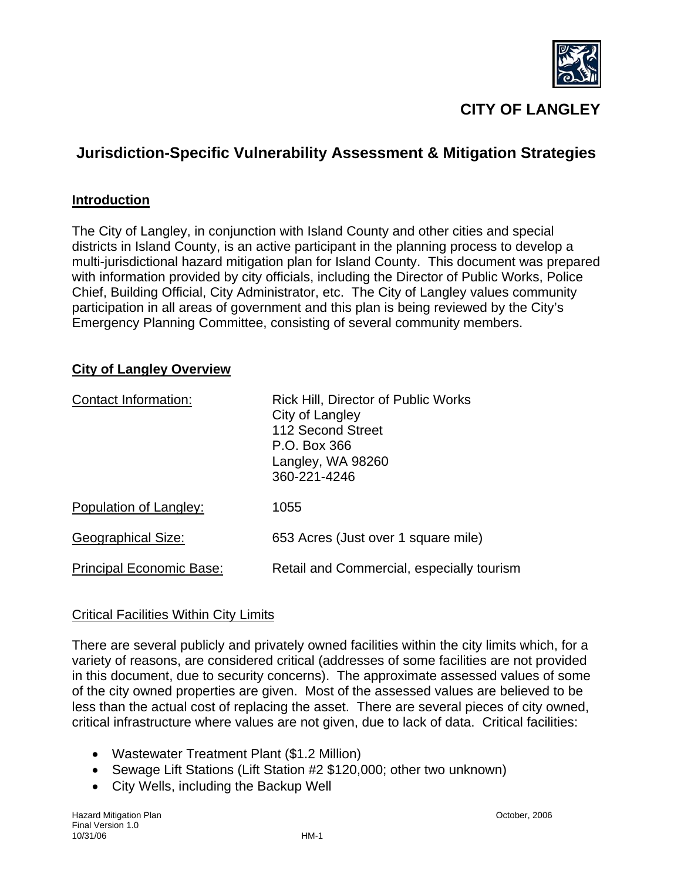

# **CITY OF LANGLEY**

# **Jurisdiction-Specific Vulnerability Assessment & Mitigation Strategies**

### **Introduction**

The City of Langley, in conjunction with Island County and other cities and special districts in Island County, is an active participant in the planning process to develop a multi-jurisdictional hazard mitigation plan for Island County. This document was prepared with information provided by city officials, including the Director of Public Works, Police Chief, Building Official, City Administrator, etc. The City of Langley values community participation in all areas of government and this plan is being reviewed by the City's Emergency Planning Committee, consisting of several community members.

### **City of Langley Overview**

| Contact Information:            | <b>Rick Hill, Director of Public Works</b><br>City of Langley<br>112 Second Street<br>P.O. Box 366<br>Langley, WA 98260<br>360-221-4246 |
|---------------------------------|-----------------------------------------------------------------------------------------------------------------------------------------|
| Population of Langley:          | 1055                                                                                                                                    |
| <b>Geographical Size:</b>       | 653 Acres (Just over 1 square mile)                                                                                                     |
| <b>Principal Economic Base:</b> | Retail and Commercial, especially tourism                                                                                               |

#### Critical Facilities Within City Limits

There are several publicly and privately owned facilities within the city limits which, for a variety of reasons, are considered critical (addresses of some facilities are not provided in this document, due to security concerns). The approximate assessed values of some of the city owned properties are given. Most of the assessed values are believed to be less than the actual cost of replacing the asset. There are several pieces of city owned, critical infrastructure where values are not given, due to lack of data. Critical facilities:

- Wastewater Treatment Plant (\$1.2 Million)
- Sewage Lift Stations (Lift Station #2 \$120,000; other two unknown)
- City Wells, including the Backup Well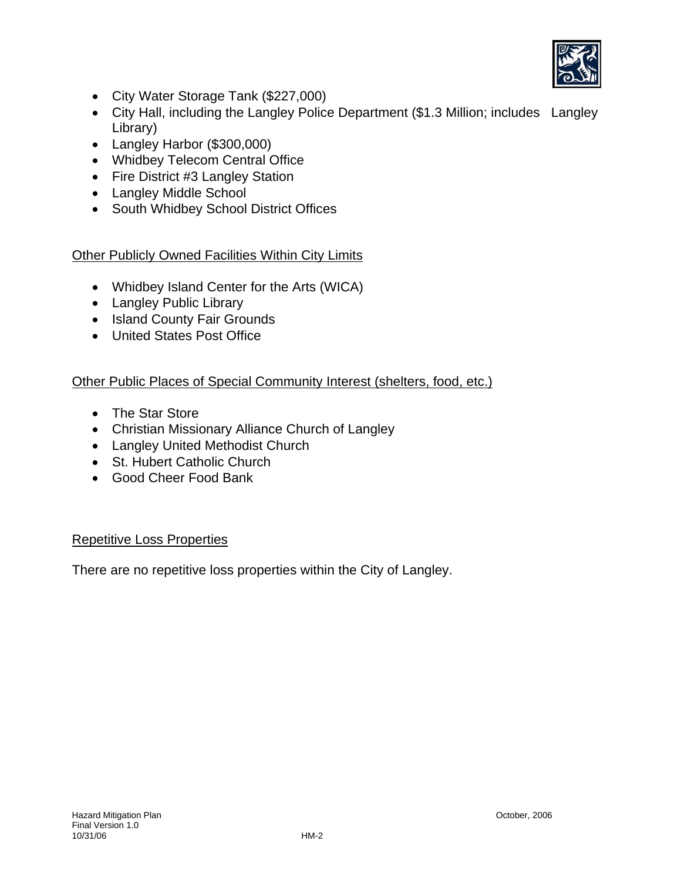

- City Water Storage Tank (\$227,000)
- City Hall, including the Langley Police Department (\$1.3 Million; includes Langley Library)
- Langley Harbor (\$300,000)
- Whidbey Telecom Central Office
- Fire District #3 Langley Station
- Langley Middle School
- South Whidbey School District Offices

## Other Publicly Owned Facilities Within City Limits

- Whidbey Island Center for the Arts (WICA)
- Langley Public Library
- Island County Fair Grounds
- United States Post Office

## Other Public Places of Special Community Interest (shelters, food, etc.)

- The Star Store
- Christian Missionary Alliance Church of Langley
- Langley United Methodist Church
- St. Hubert Catholic Church
- Good Cheer Food Bank

## Repetitive Loss Properties

There are no repetitive loss properties within the City of Langley.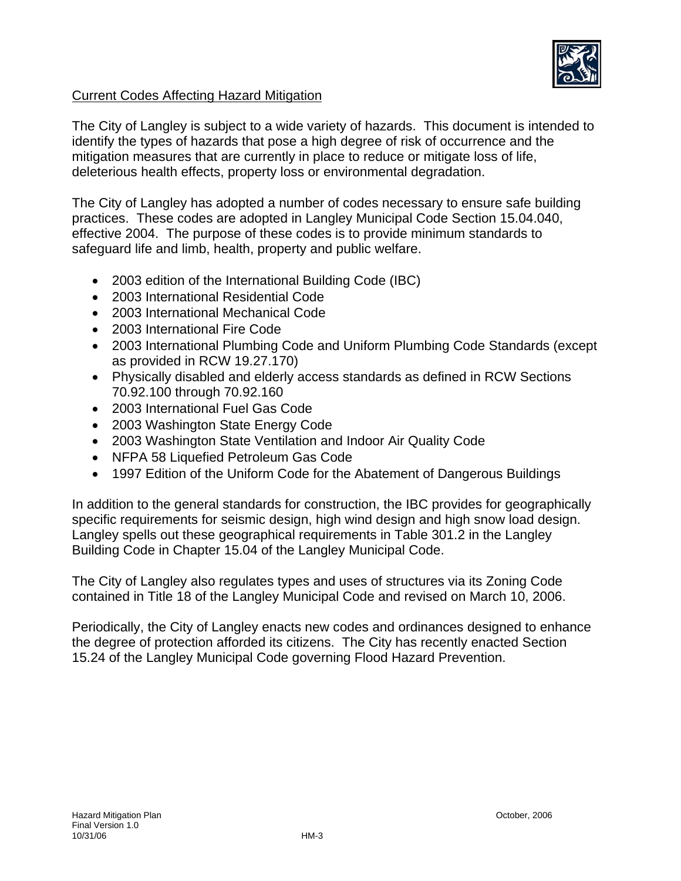

## Current Codes Affecting Hazard Mitigation

The City of Langley is subject to a wide variety of hazards. This document is intended to identify the types of hazards that pose a high degree of risk of occurrence and the mitigation measures that are currently in place to reduce or mitigate loss of life, deleterious health effects, property loss or environmental degradation.

The City of Langley has adopted a number of codes necessary to ensure safe building practices. These codes are adopted in Langley Municipal Code Section 15.04.040, effective 2004. The purpose of these codes is to provide minimum standards to safeguard life and limb, health, property and public welfare.

- 2003 edition of the International Building Code (IBC)
- 2003 International Residential Code
- 2003 International Mechanical Code
- 2003 International Fire Code
- 2003 International Plumbing Code and Uniform Plumbing Code Standards (except as provided in RCW 19.27.170)
- Physically disabled and elderly access standards as defined in RCW Sections 70.92.100 through 70.92.160
- 2003 International Fuel Gas Code
- 2003 Washington State Energy Code
- 2003 Washington State Ventilation and Indoor Air Quality Code
- NFPA 58 Liquefied Petroleum Gas Code
- 1997 Edition of the Uniform Code for the Abatement of Dangerous Buildings

In addition to the general standards for construction, the IBC provides for geographically specific requirements for seismic design, high wind design and high snow load design. Langley spells out these geographical requirements in Table 301.2 in the Langley Building Code in Chapter 15.04 of the Langley Municipal Code.

The City of Langley also regulates types and uses of structures via its Zoning Code contained in Title 18 of the Langley Municipal Code and revised on March 10, 2006.

Periodically, the City of Langley enacts new codes and ordinances designed to enhance the degree of protection afforded its citizens. The City has recently enacted Section 15.24 of the Langley Municipal Code governing Flood Hazard Prevention.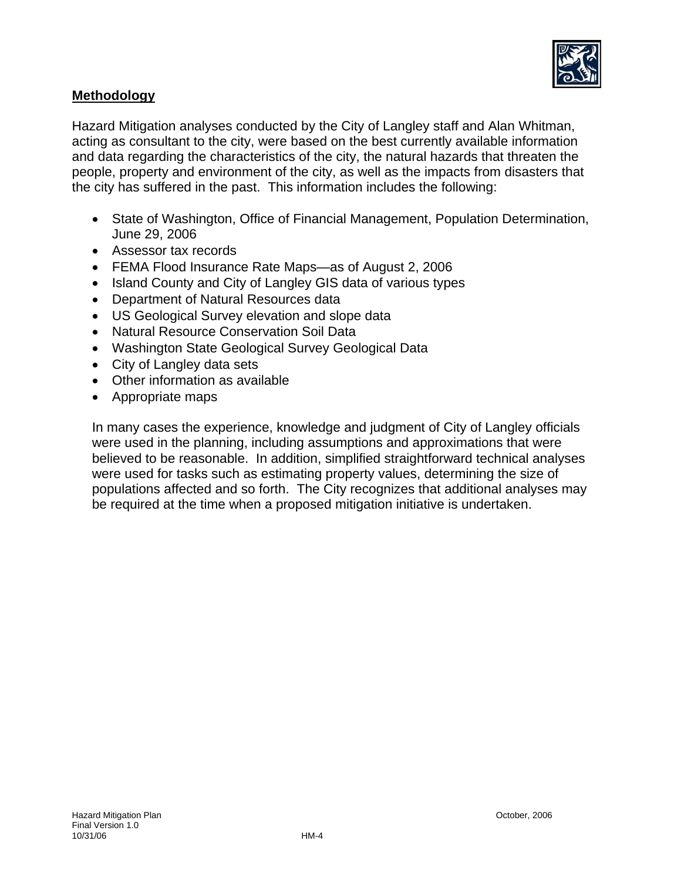

## **Methodology**

Hazard Mitigation analyses conducted by the City of Langley staff and Alan Whitman, acting as consultant to the city, were based on the best currently available information and data regarding the characteristics of the city, the natural hazards that threaten the people, property and environment of the city, as well as the impacts from disasters that the city has suffered in the past. This information includes the following:

- State of Washington, Office of Financial Management, Population Determination, June 29, 2006
- Assessor tax records
- FEMA Flood Insurance Rate Maps—as of August 2, 2006
- Island County and City of Langley GIS data of various types
- Department of Natural Resources data
- US Geological Survey elevation and slope data
- Natural Resource Conservation Soil Data
- Washington State Geological Survey Geological Data
- City of Langley data sets
- Other information as available
- Appropriate maps

In many cases the experience, knowledge and judgment of City of Langley officials were used in the planning, including assumptions and approximations that were believed to be reasonable. In addition, simplified straightforward technical analyses were used for tasks such as estimating property values, determining the size of populations affected and so forth. The City recognizes that additional analyses may be required at the time when a proposed mitigation initiative is undertaken.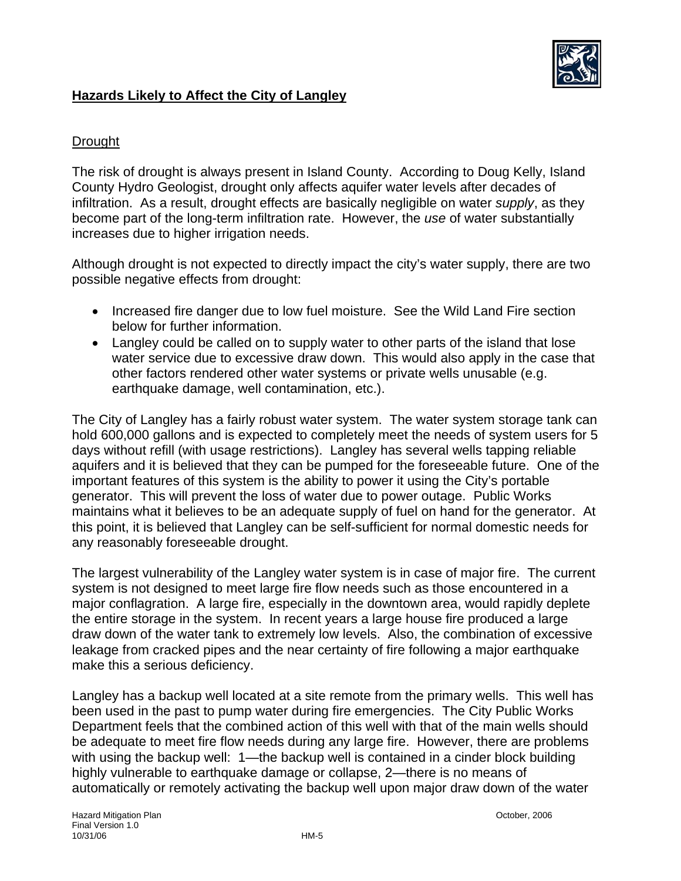

## **Hazards Likely to Affect the City of Langley**

## **Drought**

The risk of drought is always present in Island County. According to Doug Kelly, Island County Hydro Geologist, drought only affects aquifer water levels after decades of infiltration. As a result, drought effects are basically negligible on water *supply*, as they become part of the long-term infiltration rate. However, the *use* of water substantially increases due to higher irrigation needs.

Although drought is not expected to directly impact the city's water supply, there are two possible negative effects from drought:

- Increased fire danger due to low fuel moisture. See the Wild Land Fire section below for further information.
- Langley could be called on to supply water to other parts of the island that lose water service due to excessive draw down. This would also apply in the case that other factors rendered other water systems or private wells unusable (e.g. earthquake damage, well contamination, etc.).

The City of Langley has a fairly robust water system. The water system storage tank can hold 600,000 gallons and is expected to completely meet the needs of system users for 5 days without refill (with usage restrictions). Langley has several wells tapping reliable aquifers and it is believed that they can be pumped for the foreseeable future. One of the important features of this system is the ability to power it using the City's portable generator. This will prevent the loss of water due to power outage. Public Works maintains what it believes to be an adequate supply of fuel on hand for the generator. At this point, it is believed that Langley can be self-sufficient for normal domestic needs for any reasonably foreseeable drought.

The largest vulnerability of the Langley water system is in case of major fire. The current system is not designed to meet large fire flow needs such as those encountered in a major conflagration. A large fire, especially in the downtown area, would rapidly deplete the entire storage in the system. In recent years a large house fire produced a large draw down of the water tank to extremely low levels. Also, the combination of excessive leakage from cracked pipes and the near certainty of fire following a major earthquake make this a serious deficiency.

Langley has a backup well located at a site remote from the primary wells. This well has been used in the past to pump water during fire emergencies. The City Public Works Department feels that the combined action of this well with that of the main wells should be adequate to meet fire flow needs during any large fire. However, there are problems with using the backup well: 1—the backup well is contained in a cinder block building highly vulnerable to earthquake damage or collapse, 2—there is no means of automatically or remotely activating the backup well upon major draw down of the water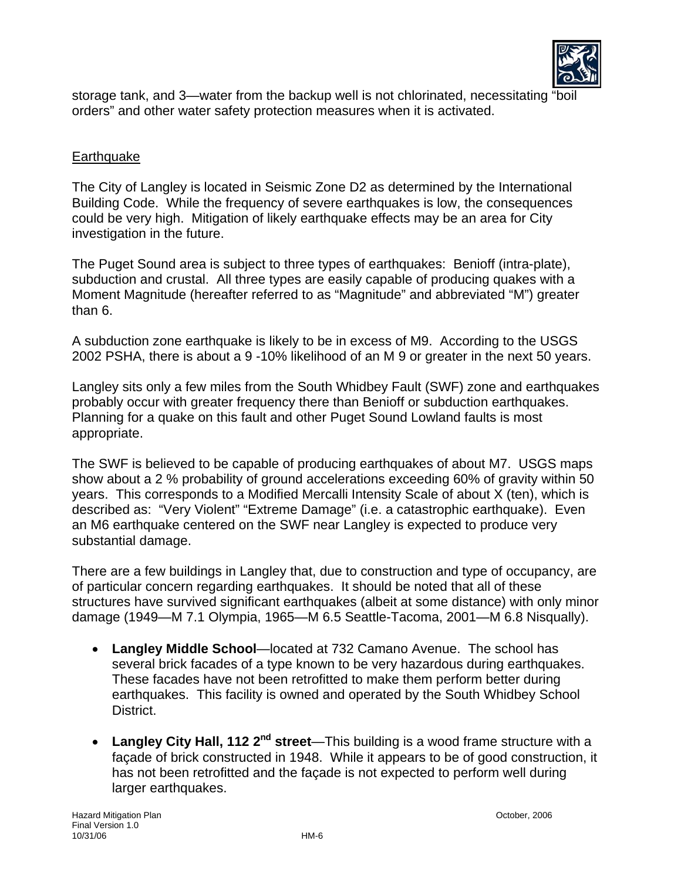

storage tank, and 3—water from the backup well is not chlorinated, necessitating "boil orders" and other water safety protection measures when it is activated.

## **Earthquake**

The City of Langley is located in Seismic Zone D2 as determined by the International Building Code. While the frequency of severe earthquakes is low, the consequences could be very high. Mitigation of likely earthquake effects may be an area for City investigation in the future.

The Puget Sound area is subject to three types of earthquakes: Benioff (intra-plate), subduction and crustal. All three types are easily capable of producing quakes with a Moment Magnitude (hereafter referred to as "Magnitude" and abbreviated "M") greater than 6.

A subduction zone earthquake is likely to be in excess of M9. According to the USGS 2002 PSHA, there is about a 9 -10% likelihood of an M 9 or greater in the next 50 years.

Langley sits only a few miles from the South Whidbey Fault (SWF) zone and earthquakes probably occur with greater frequency there than Benioff or subduction earthquakes. Planning for a quake on this fault and other Puget Sound Lowland faults is most appropriate.

The SWF is believed to be capable of producing earthquakes of about M7. USGS maps show about a 2 % probability of ground accelerations exceeding 60% of gravity within 50 years. This corresponds to a Modified Mercalli Intensity Scale of about X (ten), which is described as: "Very Violent" "Extreme Damage" (i.e. a catastrophic earthquake). Even an M6 earthquake centered on the SWF near Langley is expected to produce very substantial damage.

There are a few buildings in Langley that, due to construction and type of occupancy, are of particular concern regarding earthquakes. It should be noted that all of these structures have survived significant earthquakes (albeit at some distance) with only minor damage (1949—M 7.1 Olympia, 1965—M 6.5 Seattle-Tacoma, 2001—M 6.8 Nisqually).

- **Langley Middle School**—located at 732 Camano Avenue. The school has several brick facades of a type known to be very hazardous during earthquakes. These facades have not been retrofitted to make them perform better during earthquakes. This facility is owned and operated by the South Whidbey School District.
- **Langley City Hall, 112 2nd street**—This building is a wood frame structure with a façade of brick constructed in 1948. While it appears to be of good construction, it has not been retrofitted and the façade is not expected to perform well during larger earthquakes.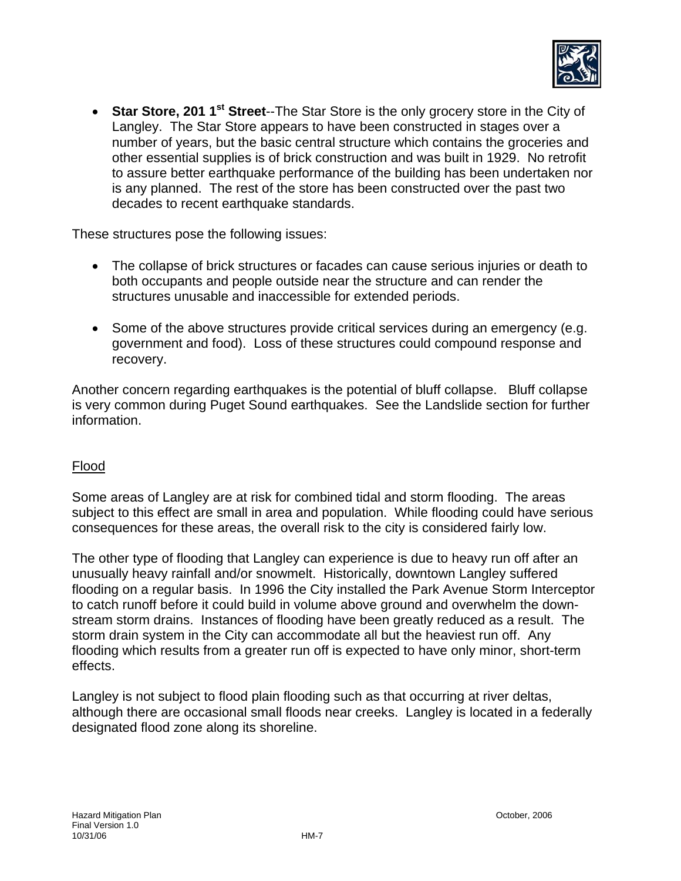

• **Star Store, 201 1<sup>st</sup> Street--**The Star Store is the only grocery store in the City of Langley. The Star Store appears to have been constructed in stages over a number of years, but the basic central structure which contains the groceries and other essential supplies is of brick construction and was built in 1929. No retrofit to assure better earthquake performance of the building has been undertaken nor is any planned. The rest of the store has been constructed over the past two decades to recent earthquake standards.

These structures pose the following issues:

- The collapse of brick structures or facades can cause serious injuries or death to both occupants and people outside near the structure and can render the structures unusable and inaccessible for extended periods.
- Some of the above structures provide critical services during an emergency (e.g. government and food). Loss of these structures could compound response and recovery.

Another concern regarding earthquakes is the potential of bluff collapse. Bluff collapse is very common during Puget Sound earthquakes. See the Landslide section for further information.

#### Flood

Some areas of Langley are at risk for combined tidal and storm flooding. The areas subject to this effect are small in area and population. While flooding could have serious consequences for these areas, the overall risk to the city is considered fairly low.

The other type of flooding that Langley can experience is due to heavy run off after an unusually heavy rainfall and/or snowmelt. Historically, downtown Langley suffered flooding on a regular basis. In 1996 the City installed the Park Avenue Storm Interceptor to catch runoff before it could build in volume above ground and overwhelm the downstream storm drains. Instances of flooding have been greatly reduced as a result. The storm drain system in the City can accommodate all but the heaviest run off. Any flooding which results from a greater run off is expected to have only minor, short-term effects.

Langley is not subject to flood plain flooding such as that occurring at river deltas, although there are occasional small floods near creeks. Langley is located in a federally designated flood zone along its shoreline.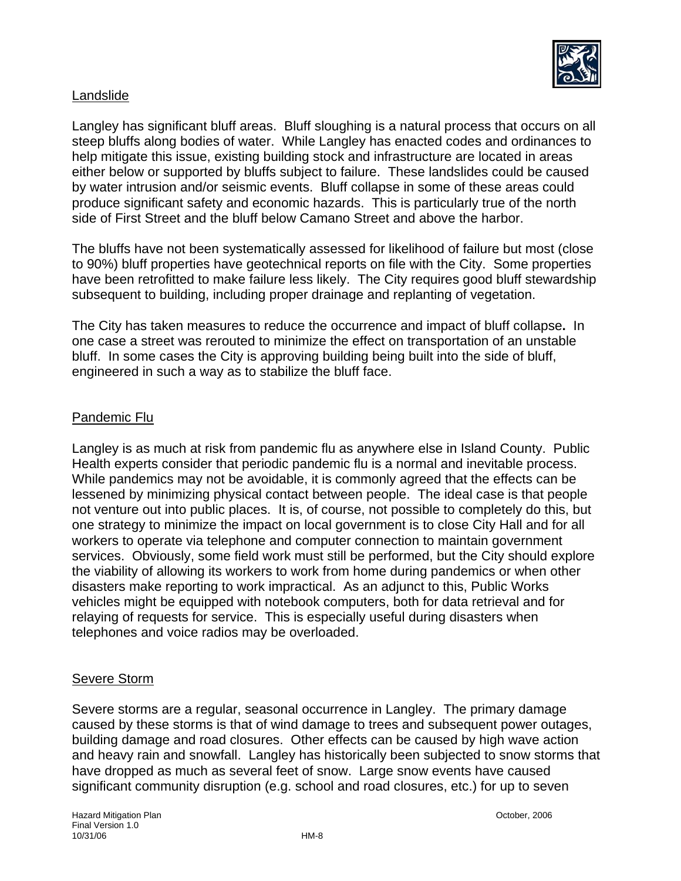

## Landslide

Langley has significant bluff areas. Bluff sloughing is a natural process that occurs on all steep bluffs along bodies of water. While Langley has enacted codes and ordinances to help mitigate this issue, existing building stock and infrastructure are located in areas either below or supported by bluffs subject to failure. These landslides could be caused by water intrusion and/or seismic events. Bluff collapse in some of these areas could produce significant safety and economic hazards. This is particularly true of the north side of First Street and the bluff below Camano Street and above the harbor.

The bluffs have not been systematically assessed for likelihood of failure but most (close to 90%) bluff properties have geotechnical reports on file with the City. Some properties have been retrofitted to make failure less likely. The City requires good bluff stewardship subsequent to building, including proper drainage and replanting of vegetation.

The City has taken measures to reduce the occurrence and impact of bluff collapse**.** In one case a street was rerouted to minimize the effect on transportation of an unstable bluff. In some cases the City is approving building being built into the side of bluff, engineered in such a way as to stabilize the bluff face.

## Pandemic Flu

Langley is as much at risk from pandemic flu as anywhere else in Island County. Public Health experts consider that periodic pandemic flu is a normal and inevitable process. While pandemics may not be avoidable, it is commonly agreed that the effects can be lessened by minimizing physical contact between people. The ideal case is that people not venture out into public places. It is, of course, not possible to completely do this, but one strategy to minimize the impact on local government is to close City Hall and for all workers to operate via telephone and computer connection to maintain government services. Obviously, some field work must still be performed, but the City should explore the viability of allowing its workers to work from home during pandemics or when other disasters make reporting to work impractical. As an adjunct to this, Public Works vehicles might be equipped with notebook computers, both for data retrieval and for relaying of requests for service. This is especially useful during disasters when telephones and voice radios may be overloaded.

#### Severe Storm

Severe storms are a regular, seasonal occurrence in Langley. The primary damage caused by these storms is that of wind damage to trees and subsequent power outages, building damage and road closures. Other effects can be caused by high wave action and heavy rain and snowfall. Langley has historically been subjected to snow storms that have dropped as much as several feet of snow. Large snow events have caused significant community disruption (e.g. school and road closures, etc.) for up to seven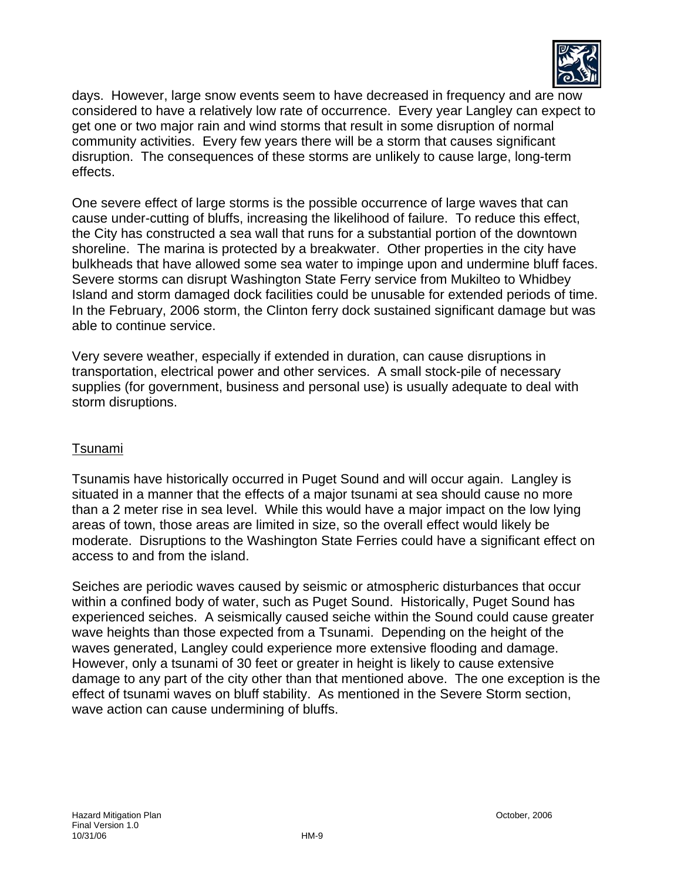

days. However, large snow events seem to have decreased in frequency and are now considered to have a relatively low rate of occurrence. Every year Langley can expect to get one or two major rain and wind storms that result in some disruption of normal community activities. Every few years there will be a storm that causes significant disruption. The consequences of these storms are unlikely to cause large, long-term effects.

One severe effect of large storms is the possible occurrence of large waves that can cause under-cutting of bluffs, increasing the likelihood of failure. To reduce this effect, the City has constructed a sea wall that runs for a substantial portion of the downtown shoreline. The marina is protected by a breakwater. Other properties in the city have bulkheads that have allowed some sea water to impinge upon and undermine bluff faces. Severe storms can disrupt Washington State Ferry service from Mukilteo to Whidbey Island and storm damaged dock facilities could be unusable for extended periods of time. In the February, 2006 storm, the Clinton ferry dock sustained significant damage but was able to continue service.

Very severe weather, especially if extended in duration, can cause disruptions in transportation, electrical power and other services. A small stock-pile of necessary supplies (for government, business and personal use) is usually adequate to deal with storm disruptions.

## Tsunami

Tsunamis have historically occurred in Puget Sound and will occur again. Langley is situated in a manner that the effects of a major tsunami at sea should cause no more than a 2 meter rise in sea level. While this would have a major impact on the low lying areas of town, those areas are limited in size, so the overall effect would likely be moderate. Disruptions to the Washington State Ferries could have a significant effect on access to and from the island.

Seiches are periodic waves caused by seismic or atmospheric disturbances that occur within a confined body of water, such as Puget Sound. Historically, Puget Sound has experienced seiches. A seismically caused seiche within the Sound could cause greater wave heights than those expected from a Tsunami. Depending on the height of the waves generated, Langley could experience more extensive flooding and damage. However, only a tsunami of 30 feet or greater in height is likely to cause extensive damage to any part of the city other than that mentioned above. The one exception is the effect of tsunami waves on bluff stability. As mentioned in the Severe Storm section, wave action can cause undermining of bluffs.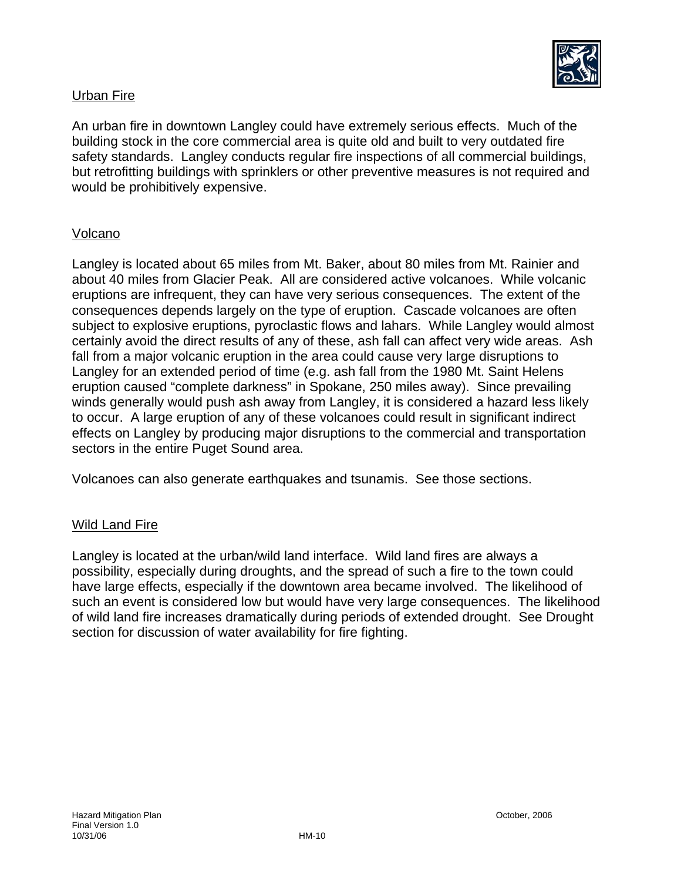

## Urban Fire

An urban fire in downtown Langley could have extremely serious effects. Much of the building stock in the core commercial area is quite old and built to very outdated fire safety standards. Langley conducts regular fire inspections of all commercial buildings, but retrofitting buildings with sprinklers or other preventive measures is not required and would be prohibitively expensive.

#### Volcano

Langley is located about 65 miles from Mt. Baker, about 80 miles from Mt. Rainier and about 40 miles from Glacier Peak. All are considered active volcanoes. While volcanic eruptions are infrequent, they can have very serious consequences. The extent of the consequences depends largely on the type of eruption. Cascade volcanoes are often subject to explosive eruptions, pyroclastic flows and lahars. While Langley would almost certainly avoid the direct results of any of these, ash fall can affect very wide areas. Ash fall from a major volcanic eruption in the area could cause very large disruptions to Langley for an extended period of time (e.g. ash fall from the 1980 Mt. Saint Helens eruption caused "complete darkness" in Spokane, 250 miles away). Since prevailing winds generally would push ash away from Langley, it is considered a hazard less likely to occur. A large eruption of any of these volcanoes could result in significant indirect effects on Langley by producing major disruptions to the commercial and transportation sectors in the entire Puget Sound area.

Volcanoes can also generate earthquakes and tsunamis. See those sections.

#### Wild Land Fire

Langley is located at the urban/wild land interface. Wild land fires are always a possibility, especially during droughts, and the spread of such a fire to the town could have large effects, especially if the downtown area became involved. The likelihood of such an event is considered low but would have very large consequences. The likelihood of wild land fire increases dramatically during periods of extended drought. See Drought section for discussion of water availability for fire fighting.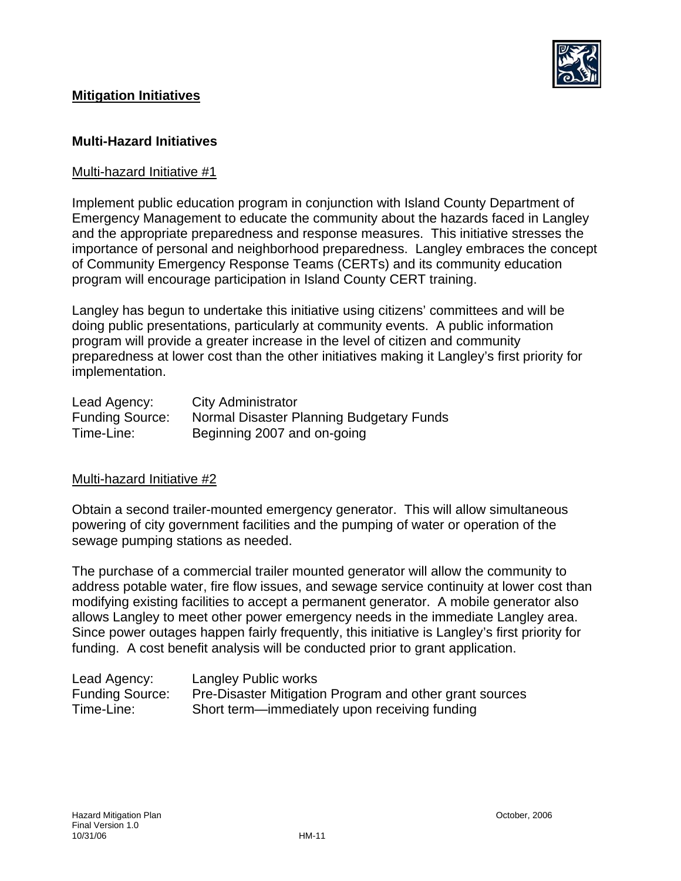

## **Mitigation Initiatives**

#### **Multi-Hazard Initiatives**

#### Multi-hazard Initiative #1

Implement public education program in conjunction with Island County Department of Emergency Management to educate the community about the hazards faced in Langley and the appropriate preparedness and response measures. This initiative stresses the importance of personal and neighborhood preparedness. Langley embraces the concept of Community Emergency Response Teams (CERTs) and its community education program will encourage participation in Island County CERT training.

Langley has begun to undertake this initiative using citizens' committees and will be doing public presentations, particularly at community events. A public information program will provide a greater increase in the level of citizen and community preparedness at lower cost than the other initiatives making it Langley's first priority for implementation.

| Lead Agency:           | <b>City Administrator</b>                |
|------------------------|------------------------------------------|
| <b>Funding Source:</b> | Normal Disaster Planning Budgetary Funds |
| Time-Line:             | Beginning 2007 and on-going              |

#### Multi-hazard Initiative #2

Obtain a second trailer-mounted emergency generator. This will allow simultaneous powering of city government facilities and the pumping of water or operation of the sewage pumping stations as needed.

The purchase of a commercial trailer mounted generator will allow the community to address potable water, fire flow issues, and sewage service continuity at lower cost than modifying existing facilities to accept a permanent generator. A mobile generator also allows Langley to meet other power emergency needs in the immediate Langley area. Since power outages happen fairly frequently, this initiative is Langley's first priority for funding. A cost benefit analysis will be conducted prior to grant application.

| Lead Agency:           | Langley Public works                                    |
|------------------------|---------------------------------------------------------|
| <b>Funding Source:</b> | Pre-Disaster Mitigation Program and other grant sources |
| Time-Line:             | Short term—immediately upon receiving funding           |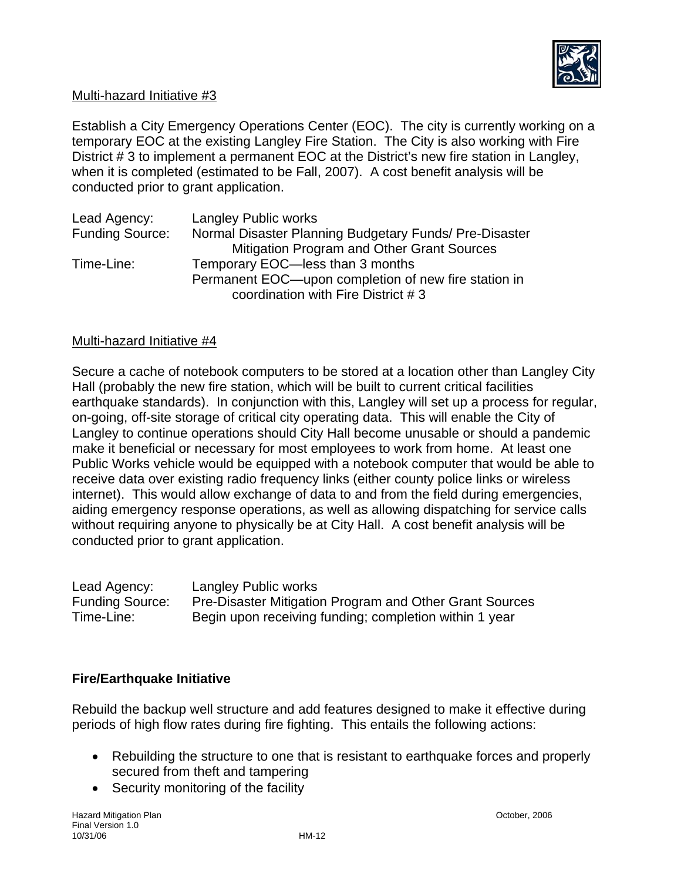

#### Multi-hazard Initiative #3

Establish a City Emergency Operations Center (EOC). The city is currently working on a temporary EOC at the existing Langley Fire Station. The City is also working with Fire District # 3 to implement a permanent EOC at the District's new fire station in Langley, when it is completed (estimated to be Fall, 2007). A cost benefit analysis will be conducted prior to grant application.

| Lead Agency:           | <b>Langley Public works</b>                            |
|------------------------|--------------------------------------------------------|
| <b>Funding Source:</b> | Normal Disaster Planning Budgetary Funds/ Pre-Disaster |
|                        | Mitigation Program and Other Grant Sources             |
| Time-Line:             | Temporary EOC-less than 3 months                       |
|                        | Permanent EOC—upon completion of new fire station in   |
|                        | coordination with Fire District #3                     |

#### Multi-hazard Initiative #4

Secure a cache of notebook computers to be stored at a location other than Langley City Hall (probably the new fire station, which will be built to current critical facilities earthquake standards). In conjunction with this, Langley will set up a process for regular, on-going, off-site storage of critical city operating data. This will enable the City of Langley to continue operations should City Hall become unusable or should a pandemic make it beneficial or necessary for most employees to work from home. At least one Public Works vehicle would be equipped with a notebook computer that would be able to receive data over existing radio frequency links (either county police links or wireless internet). This would allow exchange of data to and from the field during emergencies, aiding emergency response operations, as well as allowing dispatching for service calls without requiring anyone to physically be at City Hall. A cost benefit analysis will be conducted prior to grant application.

Lead Agency: Langley Public works Funding Source: Pre-Disaster Mitigation Program and Other Grant Sources Time-Line: Begin upon receiving funding; completion within 1 year

#### **Fire/Earthquake Initiative**

Rebuild the backup well structure and add features designed to make it effective during periods of high flow rates during fire fighting. This entails the following actions:

- Rebuilding the structure to one that is resistant to earthquake forces and properly secured from theft and tampering
- Security monitoring of the facility